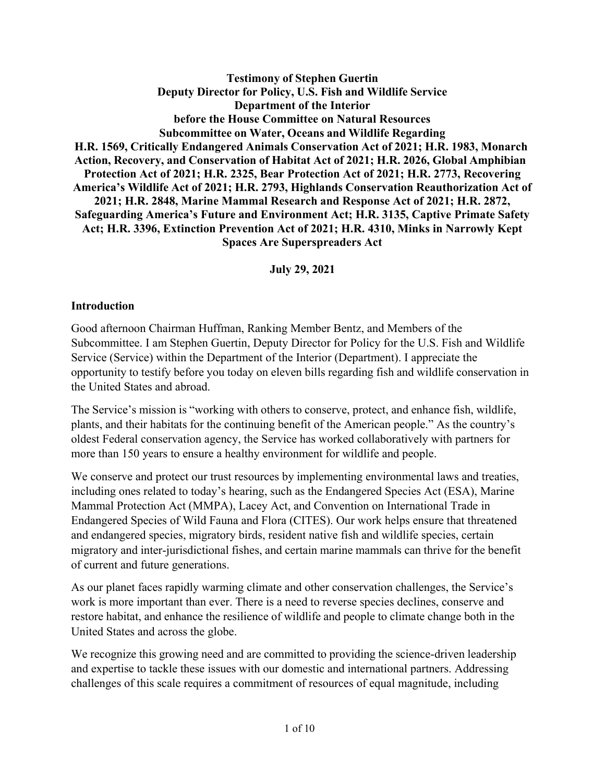**Testimony of Stephen Guertin Deputy Director for Policy, U.S. Fish and Wildlife Service Department of the Interior before the House Committee on Natural Resources Subcommittee on Water, Oceans and Wildlife Regarding H.R. 1569, Critically Endangered Animals Conservation Act of 2021; H.R. 1983, Monarch Action, Recovery, and Conservation of Habitat Act of 2021; H.R. 2026, Global Amphibian Protection Act of 2021; H.R. 2325, Bear Protection Act of 2021; H.R. 2773, Recovering America's Wildlife Act of 2021; H.R. 2793, Highlands Conservation Reauthorization Act of 2021; H.R. 2848, Marine Mammal Research and Response Act of 2021; H.R. 2872, Safeguarding America's Future and Environment Act; H.R. 3135, Captive Primate Safety Act; H.R. 3396, Extinction Prevention Act of 2021; H.R. 4310, Minks in Narrowly Kept Spaces Are Superspreaders Act**

**July 29, 2021**

#### **Introduction**

Good afternoon Chairman Huffman, Ranking Member Bentz, and Members of the Subcommittee. I am Stephen Guertin, Deputy Director for Policy for the U.S. Fish and Wildlife Service (Service) within the Department of the Interior (Department). I appreciate the opportunity to testify before you today on eleven bills regarding fish and wildlife conservation in the United States and abroad.

The Service's mission is "working with others to conserve, protect, and enhance fish, wildlife, plants, and their habitats for the continuing benefit of the American people." As the country's oldest Federal conservation agency, the Service has worked collaboratively with partners for more than 150 years to ensure a healthy environment for wildlife and people.

We conserve and protect our trust resources by implementing environmental laws and treaties, including ones related to today's hearing, such as the Endangered Species Act (ESA), Marine Mammal Protection Act (MMPA), Lacey Act, and Convention on International Trade in Endangered Species of Wild Fauna and Flora (CITES). Our work helps ensure that threatened and endangered species, migratory birds, resident native fish and wildlife species, certain migratory and inter-jurisdictional fishes, and certain marine mammals can thrive for the benefit of current and future generations.

As our planet faces rapidly warming climate and other conservation challenges, the Service's work is more important than ever. There is a need to reverse species declines, conserve and restore habitat, and enhance the resilience of wildlife and people to climate change both in the United States and across the globe.

We recognize this growing need and are committed to providing the science-driven leadership and expertise to tackle these issues with our domestic and international partners. Addressing challenges of this scale requires a commitment of resources of equal magnitude, including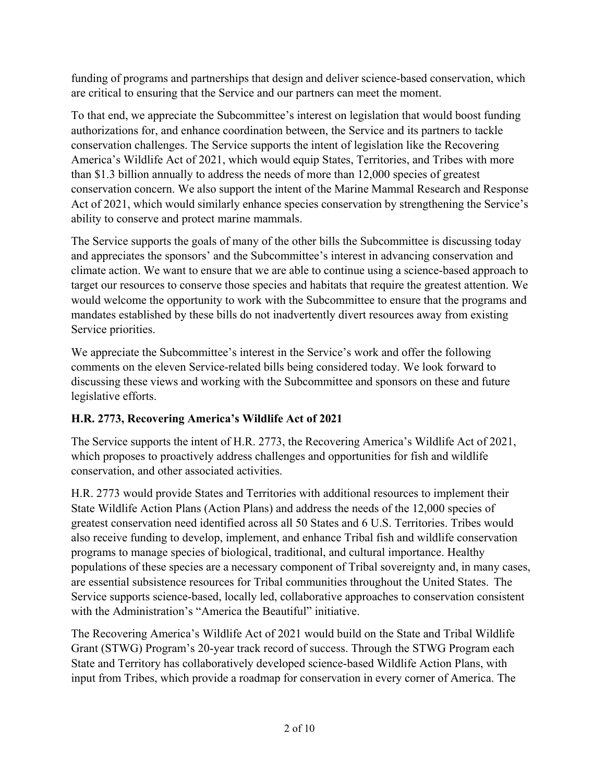funding of programs and partnerships that design and deliver science-based conservation, which are critical to ensuring that the Service and our partners can meet the moment.

To that end, we appreciate the Subcommittee's interest on legislation that would boost funding authorizations for, and enhance coordination between, the Service and its partners to tackle conservation challenges. The Service supports the intent of legislation like the Recovering America's Wildlife Act of 2021, which would equip States, Territories, and Tribes with more than \$1.3 billion annually to address the needs of more than 12,000 species of greatest conservation concern. We also support the intent of the Marine Mammal Research and Response Act of 2021, which would similarly enhance species conservation by strengthening the Service's ability to conserve and protect marine mammals.

The Service supports the goals of many of the other bills the Subcommittee is discussing today and appreciates the sponsors' and the Subcommittee's interest in advancing conservation and climate action. We want to ensure that we are able to continue using a science-based approach to target our resources to conserve those species and habitats that require the greatest attention. We would welcome the opportunity to work with the Subcommittee to ensure that the programs and mandates established by these bills do not inadvertently divert resources away from existing Service priorities.

We appreciate the Subcommittee's interest in the Service's work and offer the following comments on the eleven Service-related bills being considered today. We look forward to discussing these views and working with the Subcommittee and sponsors on these and future legislative efforts.

# **H.R. 2773, Recovering America's Wildlife Act of 2021**

The Service supports the intent of H.R. 2773, the Recovering America's Wildlife Act of 2021, which proposes to proactively address challenges and opportunities for fish and wildlife conservation, and other associated activities.

H.R. 2773 would provide States and Territories with additional resources to implement their State Wildlife Action Plans (Action Plans) and address the needs of the 12,000 species of greatest conservation need identified across all 50 States and 6 U.S. Territories. Tribes would also receive funding to develop, implement, and enhance Tribal fish and wildlife conservation programs to manage species of biological, traditional, and cultural importance. Healthy populations of these species are a necessary component of Tribal sovereignty and, in many cases, are essential subsistence resources for Tribal communities throughout the United States. The Service supports science-based, locally led, collaborative approaches to conservation consistent with the Administration's "America the Beautiful" initiative.

The Recovering America's Wildlife Act of 2021 would build on the State and Tribal Wildlife Grant (STWG) Program's 20-year track record of success. Through the STWG Program each State and Territory has collaboratively developed science-based Wildlife Action Plans, with input from Tribes, which provide a roadmap for conservation in every corner of America. The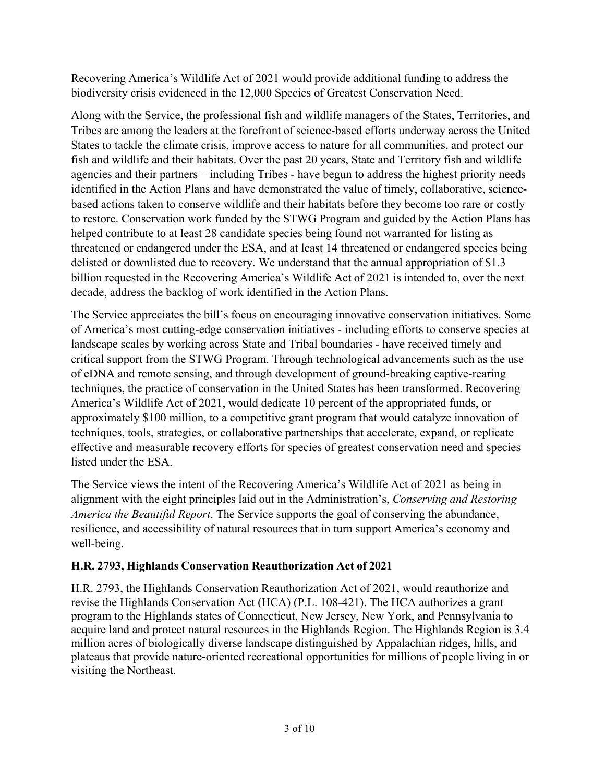Recovering America's Wildlife Act of 2021 would provide additional funding to address the biodiversity crisis evidenced in the 12,000 Species of Greatest Conservation Need.

Along with the Service, the professional fish and wildlife managers of the States, Territories, and Tribes are among the leaders at the forefront of science-based efforts underway across the United States to tackle the climate crisis, improve access to nature for all communities, and protect our fish and wildlife and their habitats. Over the past 20 years, State and Territory fish and wildlife agencies and their partners – including Tribes - have begun to address the highest priority needs identified in the Action Plans and have demonstrated the value of timely, collaborative, sciencebased actions taken to conserve wildlife and their habitats before they become too rare or costly to restore. Conservation work funded by the STWG Program and guided by the Action Plans has helped contribute to at least 28 candidate species being found not warranted for listing as threatened or endangered under the ESA, and at least 14 threatened or endangered species being delisted or downlisted due to recovery. We understand that the annual appropriation of \$1.3 billion requested in the Recovering America's Wildlife Act of 2021 is intended to, over the next decade, address the backlog of work identified in the Action Plans.

The Service appreciates the bill's focus on encouraging innovative conservation initiatives. Some of America's most cutting-edge conservation initiatives - including efforts to conserve species at landscape scales by working across State and Tribal boundaries - have received timely and critical support from the STWG Program. Through technological advancements such as the use of eDNA and remote sensing, and through development of ground-breaking captive-rearing techniques, the practice of conservation in the United States has been transformed. Recovering America's Wildlife Act of 2021, would dedicate 10 percent of the appropriated funds, or approximately \$100 million, to a competitive grant program that would catalyze innovation of techniques, tools, strategies, or collaborative partnerships that accelerate, expand, or replicate effective and measurable recovery efforts for species of greatest conservation need and species listed under the ESA.

The Service views the intent of the Recovering America's Wildlife Act of 2021 as being in alignment with the eight principles laid out in the Administration's, *Conserving and Restoring America the Beautiful Report*. The Service supports the goal of conserving the abundance, resilience, and accessibility of natural resources that in turn support America's economy and well-being.

## **H.R. 2793, Highlands Conservation Reauthorization Act of 2021**

H.R. 2793, the Highlands Conservation Reauthorization Act of 2021, would reauthorize and revise the Highlands Conservation Act (HCA) (P.L. 108-421). The HCA authorizes a grant program to the Highlands states of Connecticut, New Jersey, New York, and Pennsylvania to acquire land and protect natural resources in the Highlands Region. The Highlands Region is 3.4 million acres of biologically diverse landscape distinguished by Appalachian ridges, hills, and plateaus that provide nature-oriented recreational opportunities for millions of people living in or visiting the Northeast.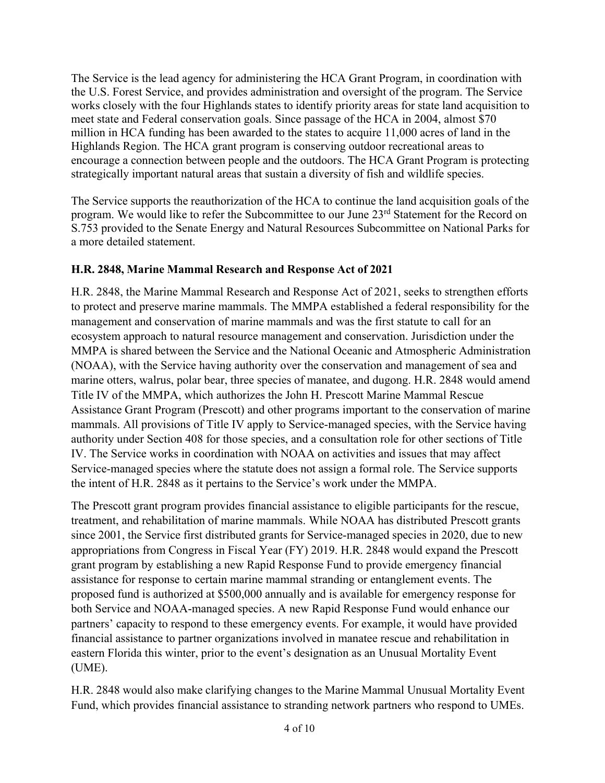The Service is the lead agency for administering the HCA Grant Program, in coordination with the U.S. Forest Service, and provides administration and oversight of the program. The Service works closely with the four Highlands states to identify priority areas for state land acquisition to meet state and Federal conservation goals. Since passage of the HCA in 2004, almost \$70 million in HCA funding has been awarded to the states to acquire 11,000 acres of land in the Highlands Region. The HCA grant program is conserving outdoor recreational areas to encourage a connection between people and the outdoors. The HCA Grant Program is protecting strategically important natural areas that sustain a diversity of fish and wildlife species.

The Service supports the reauthorization of the HCA to continue the land acquisition goals of the program. We would like to refer the Subcommittee to our June 23<sup>rd</sup> Statement for the Record on S.753 provided to the Senate Energy and Natural Resources Subcommittee on National Parks for a more detailed statement.

#### **H.R. 2848, Marine Mammal Research and Response Act of 2021**

H.R. 2848, the Marine Mammal Research and Response Act of 2021, seeks to strengthen efforts to protect and preserve marine mammals. The MMPA established a federal responsibility for the management and conservation of marine mammals and was the first statute to call for an ecosystem approach to natural resource management and conservation. Jurisdiction under the MMPA is shared between the Service and the National Oceanic and Atmospheric Administration (NOAA), with the Service having authority over the conservation and management of sea and marine otters, walrus, polar bear, three species of manatee, and dugong. H.R. 2848 would amend Title IV of the MMPA, which authorizes the John H. Prescott Marine Mammal Rescue Assistance Grant Program (Prescott) and other programs important to the conservation of marine mammals. All provisions of Title IV apply to Service-managed species, with the Service having authority under Section 408 for those species, and a consultation role for other sections of Title IV. The Service works in coordination with NOAA on activities and issues that may affect Service-managed species where the statute does not assign a formal role. The Service supports the intent of H.R. 2848 as it pertains to the Service's work under the MMPA.

The Prescott grant program provides financial assistance to eligible participants for the rescue, treatment, and rehabilitation of marine mammals. While NOAA has distributed Prescott grants since 2001, the Service first distributed grants for Service-managed species in 2020, due to new appropriations from Congress in Fiscal Year (FY) 2019. H.R. 2848 would expand the Prescott grant program by establishing a new Rapid Response Fund to provide emergency financial assistance for response to certain marine mammal stranding or entanglement events. The proposed fund is authorized at \$500,000 annually and is available for emergency response for both Service and NOAA-managed species. A new Rapid Response Fund would enhance our partners' capacity to respond to these emergency events. For example, it would have provided financial assistance to partner organizations involved in manatee rescue and rehabilitation in eastern Florida this winter, prior to the event's designation as an Unusual Mortality Event (UME).

H.R. 2848 would also make clarifying changes to the Marine Mammal Unusual Mortality Event Fund, which provides financial assistance to stranding network partners who respond to UMEs.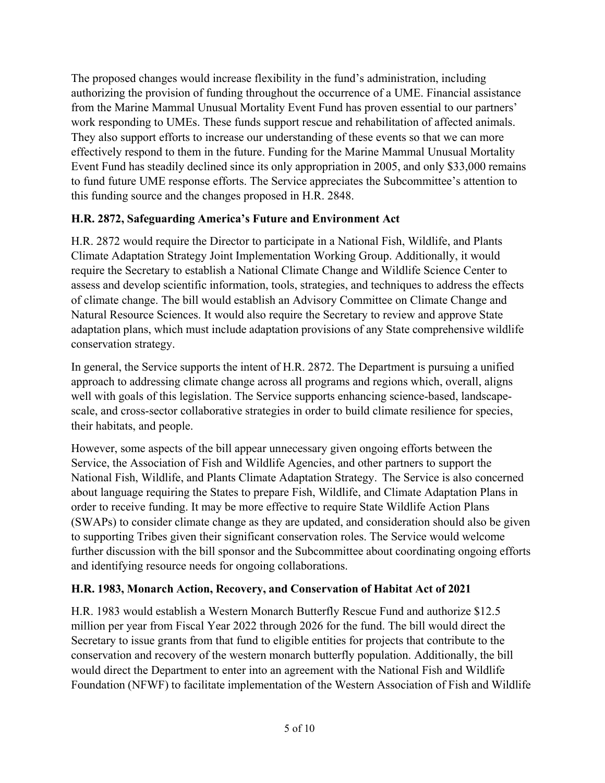The proposed changes would increase flexibility in the fund's administration, including authorizing the provision of funding throughout the occurrence of a UME. Financial assistance from the Marine Mammal Unusual Mortality Event Fund has proven essential to our partners' work responding to UMEs. These funds support rescue and rehabilitation of affected animals. They also support efforts to increase our understanding of these events so that we can more effectively respond to them in the future. Funding for the Marine Mammal Unusual Mortality Event Fund has steadily declined since its only appropriation in 2005, and only \$33,000 remains to fund future UME response efforts. The Service appreciates the Subcommittee's attention to this funding source and the changes proposed in H.R. 2848.

## **H.R. 2872, Safeguarding America's Future and Environment Act**

H.R. 2872 would require the Director to participate in a National Fish, Wildlife, and Plants Climate Adaptation Strategy Joint Implementation Working Group. Additionally, it would require the Secretary to establish a National Climate Change and Wildlife Science Center to assess and develop scientific information, tools, strategies, and techniques to address the effects of climate change. The bill would establish an Advisory Committee on Climate Change and Natural Resource Sciences. It would also require the Secretary to review and approve State adaptation plans, which must include adaptation provisions of any State comprehensive wildlife conservation strategy.

In general, the Service supports the intent of H.R. 2872. The Department is pursuing a unified approach to addressing climate change across all programs and regions which, overall, aligns well with goals of this legislation. The Service supports enhancing science-based, landscapescale, and cross-sector collaborative strategies in order to build climate resilience for species, their habitats, and people.

However, some aspects of the bill appear unnecessary given ongoing efforts between the Service, the Association of Fish and Wildlife Agencies, and other partners to support the National Fish, Wildlife, and Plants Climate Adaptation Strategy. The Service is also concerned about language requiring the States to prepare Fish, Wildlife, and Climate Adaptation Plans in order to receive funding. It may be more effective to require State Wildlife Action Plans (SWAPs) to consider climate change as they are updated, and consideration should also be given to supporting Tribes given their significant conservation roles. The Service would welcome further discussion with the bill sponsor and the Subcommittee about coordinating ongoing efforts and identifying resource needs for ongoing collaborations.

## **H.R. 1983, Monarch Action, Recovery, and Conservation of Habitat Act of 2021**

H.R. 1983 would establish a Western Monarch Butterfly Rescue Fund and authorize \$12.5 million per year from Fiscal Year 2022 through 2026 for the fund. The bill would direct the Secretary to issue grants from that fund to eligible entities for projects that contribute to the conservation and recovery of the western monarch butterfly population. Additionally, the bill would direct the Department to enter into an agreement with the National Fish and Wildlife Foundation (NFWF) to facilitate implementation of the Western Association of Fish and Wildlife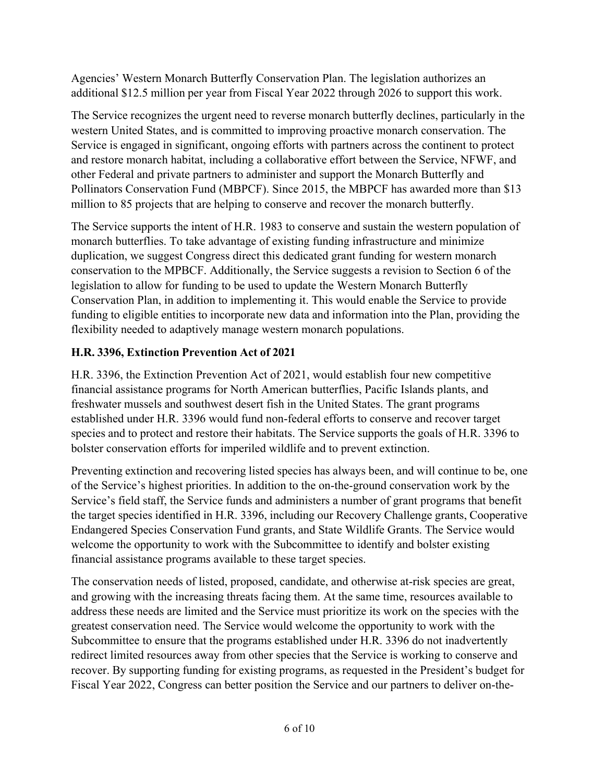Agencies' Western Monarch Butterfly Conservation Plan. The legislation authorizes an additional \$12.5 million per year from Fiscal Year 2022 through 2026 to support this work.

The Service recognizes the urgent need to reverse monarch butterfly declines, particularly in the western United States, and is committed to improving proactive monarch conservation. The Service is engaged in significant, ongoing efforts with partners across the continent to protect and restore monarch habitat, including a collaborative effort between the Service, NFWF, and other Federal and private partners to administer and support the Monarch Butterfly and Pollinators Conservation Fund (MBPCF). Since 2015, the MBPCF has awarded more than \$13 million to 85 projects that are helping to conserve and recover the monarch butterfly.

The Service supports the intent of H.R. 1983 to conserve and sustain the western population of monarch butterflies. To take advantage of existing funding infrastructure and minimize duplication, we suggest Congress direct this dedicated grant funding for western monarch conservation to the MPBCF. Additionally, the Service suggests a revision to Section 6 of the legislation to allow for funding to be used to update the Western Monarch Butterfly Conservation Plan, in addition to implementing it. This would enable the Service to provide funding to eligible entities to incorporate new data and information into the Plan, providing the flexibility needed to adaptively manage western monarch populations.

# **H.R. 3396, Extinction Prevention Act of 2021**

H.R. 3396, the Extinction Prevention Act of 2021, would establish four new competitive financial assistance programs for North American butterflies, Pacific Islands plants, and freshwater mussels and southwest desert fish in the United States. The grant programs established under H.R. 3396 would fund non-federal efforts to conserve and recover target species and to protect and restore their habitats. The Service supports the goals of H.R. 3396 to bolster conservation efforts for imperiled wildlife and to prevent extinction.

Preventing extinction and recovering listed species has always been, and will continue to be, one of the Service's highest priorities. In addition to the on-the-ground conservation work by the Service's field staff, the Service funds and administers a number of grant programs that benefit the target species identified in H.R. 3396, including our Recovery Challenge grants, Cooperative Endangered Species Conservation Fund grants, and State Wildlife Grants. The Service would welcome the opportunity to work with the Subcommittee to identify and bolster existing financial assistance programs available to these target species.

The conservation needs of listed, proposed, candidate, and otherwise at-risk species are great, and growing with the increasing threats facing them. At the same time, resources available to address these needs are limited and the Service must prioritize its work on the species with the greatest conservation need. The Service would welcome the opportunity to work with the Subcommittee to ensure that the programs established under H.R. 3396 do not inadvertently redirect limited resources away from other species that the Service is working to conserve and recover. By supporting funding for existing programs, as requested in the President's budget for Fiscal Year 2022, Congress can better position the Service and our partners to deliver on-the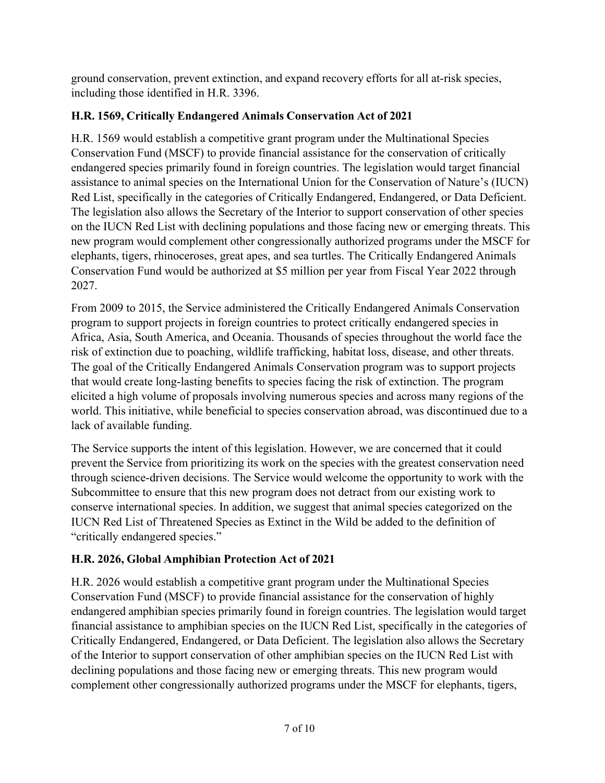ground conservation, prevent extinction, and expand recovery efforts for all at-risk species, including those identified in H.R. 3396.

## **H.R. 1569, Critically Endangered Animals Conservation Act of 2021**

H.R. 1569 would establish a competitive grant program under the Multinational Species Conservation Fund (MSCF) to provide financial assistance for the conservation of critically endangered species primarily found in foreign countries. The legislation would target financial assistance to animal species on the International Union for the Conservation of Nature's (IUCN) Red List, specifically in the categories of Critically Endangered, Endangered, or Data Deficient. The legislation also allows the Secretary of the Interior to support conservation of other species on the IUCN Red List with declining populations and those facing new or emerging threats. This new program would complement other congressionally authorized programs under the MSCF for elephants, tigers, rhinoceroses, great apes, and sea turtles. The Critically Endangered Animals Conservation Fund would be authorized at \$5 million per year from Fiscal Year 2022 through 2027.

From 2009 to 2015, the Service administered the Critically Endangered Animals Conservation program to support projects in foreign countries to protect critically endangered species in Africa, Asia, South America, and Oceania. Thousands of species throughout the world face the risk of extinction due to poaching, wildlife trafficking, habitat loss, disease, and other threats. The goal of the Critically Endangered Animals Conservation program was to support projects that would create long-lasting benefits to species facing the risk of extinction. The program elicited a high volume of proposals involving numerous species and across many regions of the world. This initiative, while beneficial to species conservation abroad, was discontinued due to a lack of available funding.

The Service supports the intent of this legislation. However, we are concerned that it could prevent the Service from prioritizing its work on the species with the greatest conservation need through science-driven decisions. The Service would welcome the opportunity to work with the Subcommittee to ensure that this new program does not detract from our existing work to conserve international species. In addition, we suggest that animal species categorized on the IUCN Red List of Threatened Species as Extinct in the Wild be added to the definition of "critically endangered species."

# **H.R. 2026, Global Amphibian Protection Act of 2021**

H.R. 2026 would establish a competitive grant program under the Multinational Species Conservation Fund (MSCF) to provide financial assistance for the conservation of highly endangered amphibian species primarily found in foreign countries. The legislation would target financial assistance to amphibian species on the IUCN Red List, specifically in the categories of Critically Endangered, Endangered, or Data Deficient. The legislation also allows the Secretary of the Interior to support conservation of other amphibian species on the IUCN Red List with declining populations and those facing new or emerging threats. This new program would complement other congressionally authorized programs under the MSCF for elephants, tigers,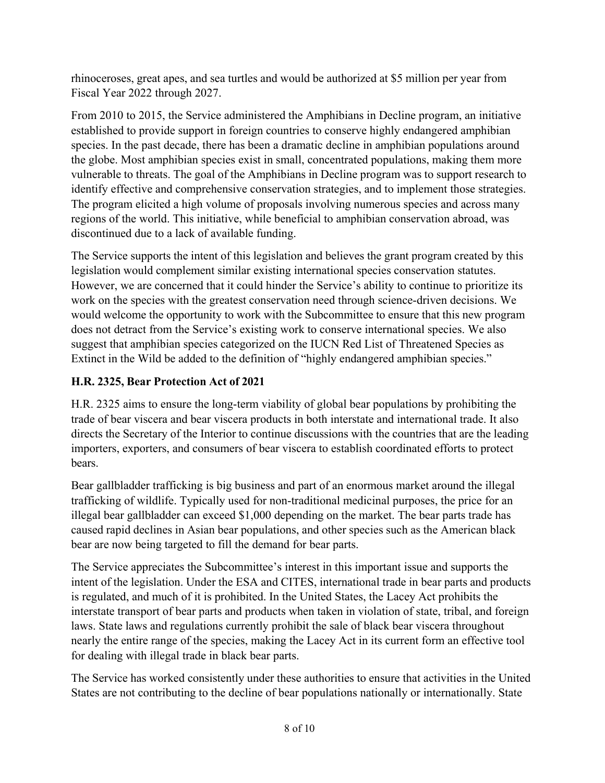rhinoceroses, great apes, and sea turtles and would be authorized at \$5 million per year from Fiscal Year 2022 through 2027.

From 2010 to 2015, the Service administered the Amphibians in Decline program, an initiative established to provide support in foreign countries to conserve highly endangered amphibian species. In the past decade, there has been a dramatic decline in amphibian populations around the globe. Most amphibian species exist in small, concentrated populations, making them more vulnerable to threats. The goal of the Amphibians in Decline program was to support research to identify effective and comprehensive conservation strategies, and to implement those strategies. The program elicited a high volume of proposals involving numerous species and across many regions of the world. This initiative, while beneficial to amphibian conservation abroad, was discontinued due to a lack of available funding.

The Service supports the intent of this legislation and believes the grant program created by this legislation would complement similar existing international species conservation statutes. However, we are concerned that it could hinder the Service's ability to continue to prioritize its work on the species with the greatest conservation need through science-driven decisions. We would welcome the opportunity to work with the Subcommittee to ensure that this new program does not detract from the Service's existing work to conserve international species. We also suggest that amphibian species categorized on the IUCN Red List of Threatened Species as Extinct in the Wild be added to the definition of "highly endangered amphibian species."

# **H.R. 2325, Bear Protection Act of 2021**

H.R. 2325 aims to ensure the long-term viability of global bear populations by prohibiting the trade of bear viscera and bear viscera products in both interstate and international trade. It also directs the Secretary of the Interior to continue discussions with the countries that are the leading importers, exporters, and consumers of bear viscera to establish coordinated efforts to protect bears.

Bear gallbladder trafficking is big business and part of an enormous market around the illegal trafficking of wildlife. Typically used for non-traditional medicinal purposes, the price for an illegal bear gallbladder can exceed \$1,000 depending on the market. The bear parts trade has caused rapid declines in Asian bear populations, and other species such as the American black bear are now being targeted to fill the demand for bear parts.

The Service appreciates the Subcommittee's interest in this important issue and supports the intent of the legislation. Under the ESA and CITES, international trade in bear parts and products is regulated, and much of it is prohibited. In the United States, the Lacey Act prohibits the interstate transport of bear parts and products when taken in violation of state, tribal, and foreign laws. State laws and regulations currently prohibit the sale of black bear viscera throughout nearly the entire range of the species, making the Lacey Act in its current form an effective tool for dealing with illegal trade in black bear parts.

The Service has worked consistently under these authorities to ensure that activities in the United States are not contributing to the decline of bear populations nationally or internationally. State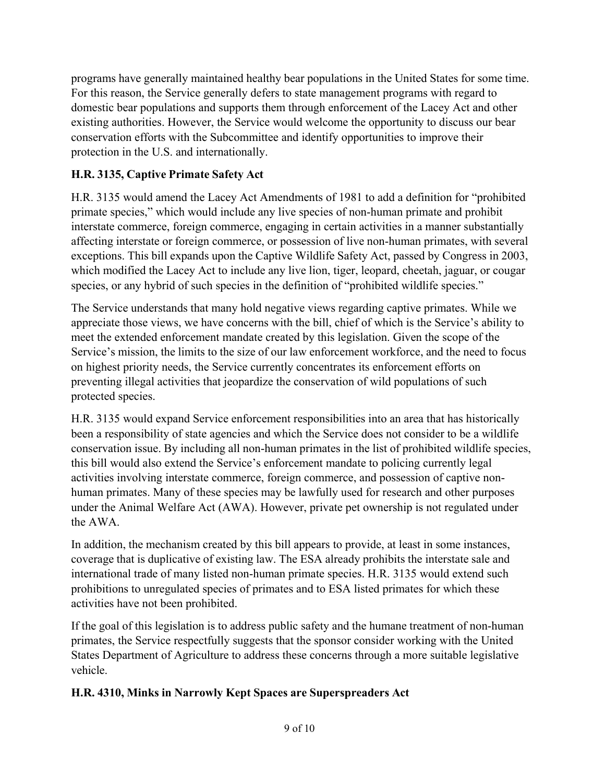programs have generally maintained healthy bear populations in the United States for some time. For this reason, the Service generally defers to state management programs with regard to domestic bear populations and supports them through enforcement of the Lacey Act and other existing authorities. However, the Service would welcome the opportunity to discuss our bear conservation efforts with the Subcommittee and identify opportunities to improve their protection in the U.S. and internationally.

# **H.R. 3135, Captive Primate Safety Act**

H.R. 3135 would amend the Lacey Act Amendments of 1981 to add a definition for "prohibited primate species," which would include any live species of non-human primate and prohibit interstate commerce, foreign commerce, engaging in certain activities in a manner substantially affecting interstate or foreign commerce, or possession of live non-human primates, with several exceptions. This bill expands upon the Captive Wildlife Safety Act, passed by Congress in 2003, which modified the Lacey Act to include any live lion, tiger, leopard, cheetah, jaguar, or cougar species, or any hybrid of such species in the definition of "prohibited wildlife species."

The Service understands that many hold negative views regarding captive primates. While we appreciate those views, we have concerns with the bill, chief of which is the Service's ability to meet the extended enforcement mandate created by this legislation. Given the scope of the Service's mission, the limits to the size of our law enforcement workforce, and the need to focus on highest priority needs, the Service currently concentrates its enforcement efforts on preventing illegal activities that jeopardize the conservation of wild populations of such protected species.

H.R. 3135 would expand Service enforcement responsibilities into an area that has historically been a responsibility of state agencies and which the Service does not consider to be a wildlife conservation issue. By including all non-human primates in the list of prohibited wildlife species, this bill would also extend the Service's enforcement mandate to policing currently legal activities involving interstate commerce, foreign commerce, and possession of captive nonhuman primates. Many of these species may be lawfully used for research and other purposes under the Animal Welfare Act (AWA). However, private pet ownership is not regulated under the AWA.

In addition, the mechanism created by this bill appears to provide, at least in some instances, coverage that is duplicative of existing law. The ESA already prohibits the interstate sale and international trade of many listed non-human primate species. H.R. 3135 would extend such prohibitions to unregulated species of primates and to ESA listed primates for which these activities have not been prohibited.

If the goal of this legislation is to address public safety and the humane treatment of non-human primates, the Service respectfully suggests that the sponsor consider working with the United States Department of Agriculture to address these concerns through a more suitable legislative vehicle.

# **H.R. 4310, Minks in Narrowly Kept Spaces are Superspreaders Act**